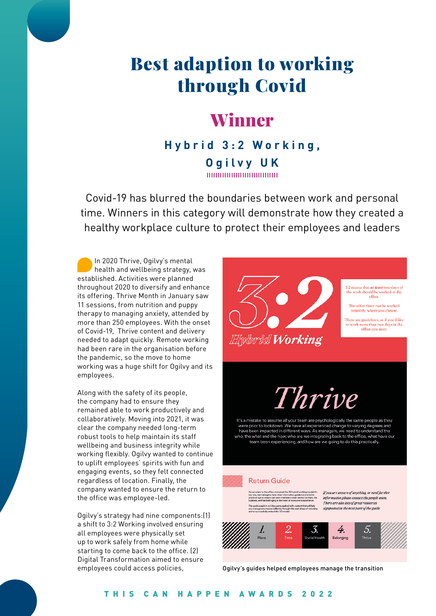# Best adaption to working through Covid

## Winner

### **Hybrid 3:2 Working, Ogilvy UK** 000000000000000000

Covid-19 has blurred the boundaries between work and personal time. Winners in this category will demonstrate how they created a healthy workplace culture to protect their employees and leaders

In 2020 Thrive, Ogilvy's mental health and wellbeing strategy, was established. Activities were planned throughout 2020 to diversify and enhance its offering. Thrive Month in January saw 11 sessions, from nutrition and puppy therapy to managing anxiety, attended by more than 250 employees. With the onset of Covid-19, Thrive content and delivery needed to adapt quickly. Remote working had been rare in the organisation before the pandemic, so the move to home working was a huge shift for Ogilvy and its employees.

Along with the safety of its people, the company had to ensure they remained able to work productively and collaboratively. Moving into 2021, it was clear the company needed long-term robust tools to help maintain its staff wellbeing and business integrity while working flexibly. Ogilvy wanted to continue to uplift employees' spirits with fun and engaging events, so they felt connected regardless of location. Finally, the company wanted to ensure the return to the office was employee-led.

Ogilvy's strategy had nine components:(1) a shift to 3:2 Working involved ensuring all employees were physically set up to work safely from home while starting to come back to the office. (2) Digital Transformation aimed to ensure employees could access policies,



Ogilvy's guides helped employees manage the transition